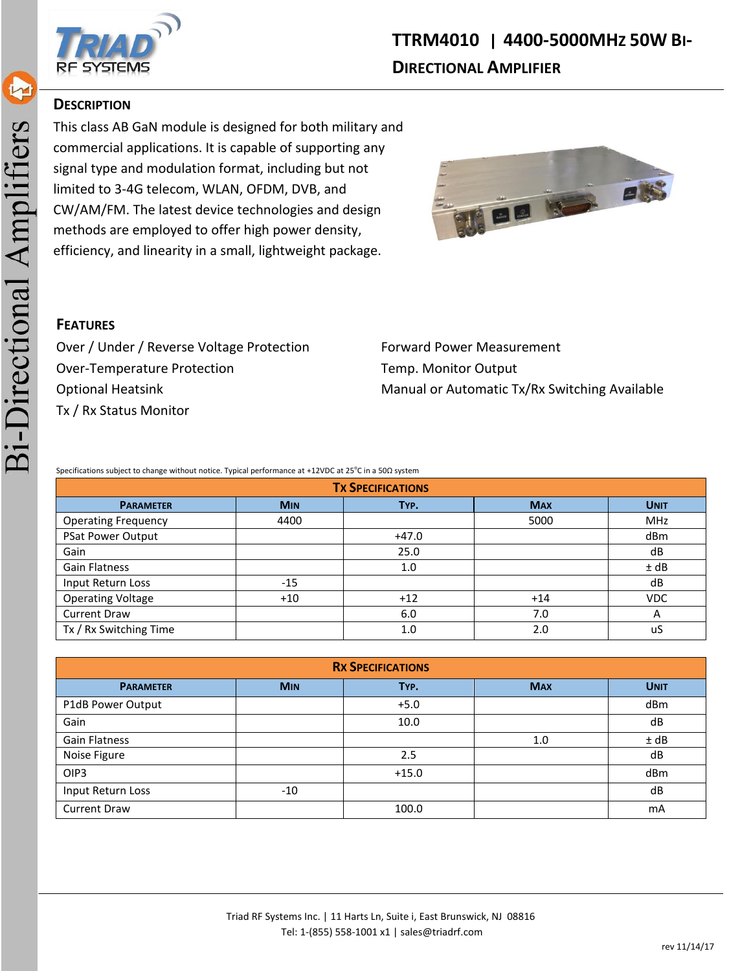

#### **DESCRIPTION**

This class AB GaN module is designed for both military and commercial applications. It is capable of supporting any signal type and modulation format, including but not limited to 3-4G telecom, WLAN, OFDM, DVB, and CW/AM/FM. The latest device technologies and design methods are employed to offer high power density, efficiency, and linearity in a small, lightweight package.





Over / Under / Reverse Voltage Protection Forward Power Measurement Over-Temperature Protection Temp. Monitor Output Tx / Rx Status Monitor

Optional Heatsink Manual or Automatic Tx/Rx Switching Available

Specifications subject to change without notice. Typical performance at +12VDC at 25<sup>°</sup>C in a 50Ω system

| <b>TX SPECIFICATIONS</b>   |            |         |            |             |
|----------------------------|------------|---------|------------|-------------|
| <b>PARAMETER</b>           | <b>MIN</b> | TYP.    | <b>MAX</b> | <b>UNIT</b> |
| <b>Operating Frequency</b> | 4400       |         | 5000       | <b>MHz</b>  |
| PSat Power Output          |            | $+47.0$ |            | dBm         |
| Gain                       |            | 25.0    |            | dB          |
| <b>Gain Flatness</b>       |            | 1.0     |            | ± dB        |
| Input Return Loss          | $-15$      |         |            | dB          |
| <b>Operating Voltage</b>   | $+10$      | $+12$   | $+14$      | <b>VDC</b>  |
| <b>Current Draw</b>        |            | 6.0     | 7.0        | А           |
| Tx / Rx Switching Time     |            | 1.0     | 2.0        | uS          |

| <b>RX SPECIFICATIONS</b> |            |         |            |             |
|--------------------------|------------|---------|------------|-------------|
| <b>PARAMETER</b>         | <b>MIN</b> | TYP.    | <b>MAX</b> | <b>UNIT</b> |
| P1dB Power Output        |            | $+5.0$  |            | dBm         |
| Gain                     |            | 10.0    |            | dB          |
| Gain Flatness            |            |         | 1.0        | ± dB        |
| Noise Figure             |            | 2.5     |            | dB          |
| OIP <sub>3</sub>         |            | $+15.0$ |            | dBm         |
| Input Return Loss        | $-10$      |         |            | dB          |
| <b>Current Draw</b>      |            | 100.0   |            | mA          |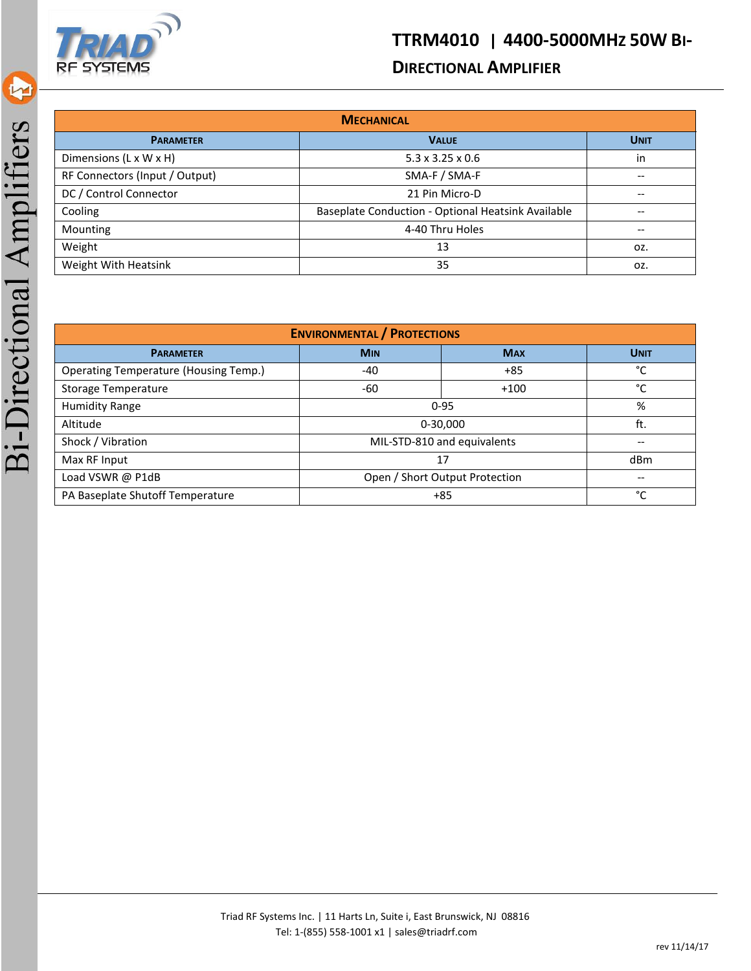

## **DIRECTIONAL AMPLIFIER**

| <b>MECHANICAL</b>              |                                                          |             |  |
|--------------------------------|----------------------------------------------------------|-------------|--|
| <b>PARAMETER</b>               | <b>VALUE</b>                                             | <b>UNIT</b> |  |
| Dimensions (L x W x H)         | $5.3 \times 3.25 \times 0.6$                             | in          |  |
| RF Connectors (Input / Output) | SMA-F / SMA-F                                            | --          |  |
| DC / Control Connector         | 21 Pin Micro-D<br>--                                     |             |  |
| Cooling                        | Baseplate Conduction - Optional Heatsink Available<br>-- |             |  |
| Mounting                       | 4-40 Thru Holes                                          | --          |  |
| Weight                         | 13                                                       | OZ.         |  |
| Weight With Heatsink           | 35                                                       | OZ.         |  |

| <b>ENVIRONMENTAL / PROTECTIONS</b>           |                                |            |             |
|----------------------------------------------|--------------------------------|------------|-------------|
| <b>PARAMETER</b>                             | <b>MIN</b>                     | <b>MAX</b> | <b>UNIT</b> |
| <b>Operating Temperature (Housing Temp.)</b> | $-40$                          | $+85$      | °C          |
| <b>Storage Temperature</b>                   | -60                            | $+100$     | °C          |
| <b>Humidity Range</b>                        | $0 - 95$                       |            | %           |
| Altitude                                     | 0-30,000                       |            | ft.         |
| Shock / Vibration                            | MIL-STD-810 and equivalents    |            | --          |
| Max RF Input                                 | 17                             |            | dBm         |
| Load VSWR @ P1dB                             | Open / Short Output Protection |            | --          |
| PA Baseplate Shutoff Temperature<br>$+85$    |                                |            | °C          |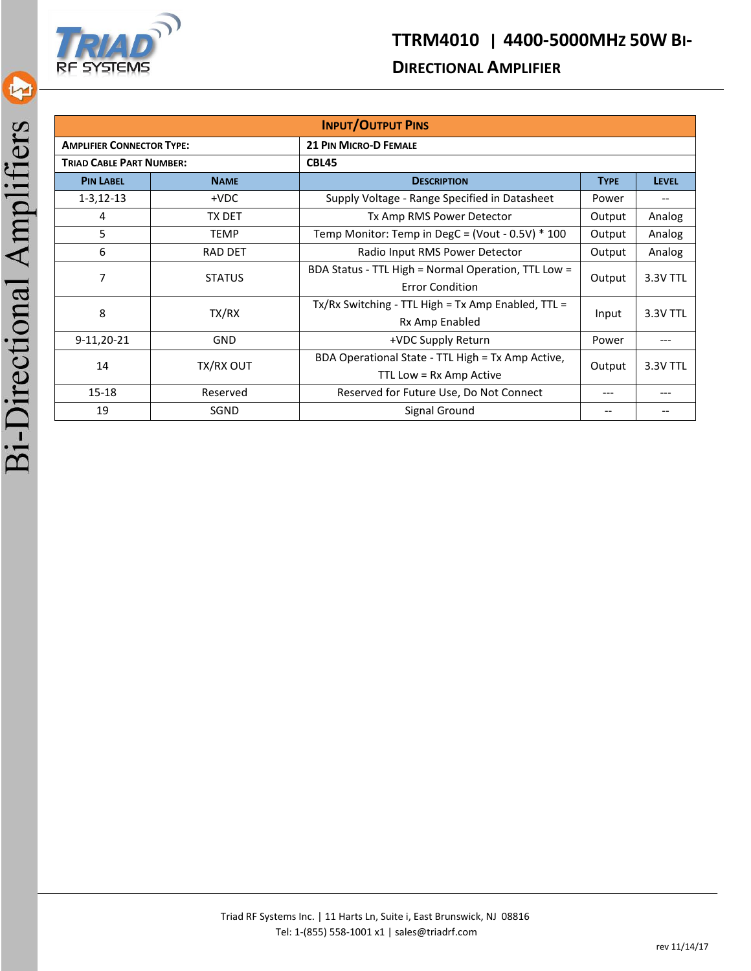

### **DIRECTIONAL AMPLIFIER**

| <b>INPUT/OUTPUT PINS</b>         |                |                                                                 |                   |              |  |
|----------------------------------|----------------|-----------------------------------------------------------------|-------------------|--------------|--|
| <b>AMPLIFIER CONNECTOR TYPE:</b> |                | <b>21 PIN MICRO-D FEMALE</b>                                    |                   |              |  |
| <b>TRIAD CABLE PART NUMBER:</b>  |                | CBL45                                                           |                   |              |  |
| <b>PIN LABEL</b>                 | <b>NAME</b>    | <b>DESCRIPTION</b>                                              |                   | <b>LEVEL</b> |  |
| $1 - 3, 12 - 13$                 | $+VDC$         | Supply Voltage - Range Specified in Datasheet                   | Power             | --           |  |
| 4                                | TX DET         | Tx Amp RMS Power Detector                                       | Output            | Analog       |  |
| 5                                | <b>TEMP</b>    | Temp Monitor: Temp in DegC = (Vout - $0.5V$ ) $*$ 100<br>Output |                   | Analog       |  |
| 6                                | <b>RAD DET</b> | Radio Input RMS Power Detector                                  | Output            | Analog       |  |
| 7                                | <b>STATUS</b>  | BDA Status - TTL High = Normal Operation, TTL Low =             | Output            | 3.3V TTL     |  |
|                                  |                | <b>Error Condition</b>                                          |                   |              |  |
| 8<br>TX/RX                       |                | $Tx/Rx$ Switching - TTL High = Tx Amp Enabled, TTL =            | 3.3V TTL<br>Input |              |  |
|                                  |                | Rx Amp Enabled                                                  |                   |              |  |
| 9-11,20-21                       | <b>GND</b>     | +VDC Supply Return<br>Power                                     |                   |              |  |
|                                  | TX/RX OUT      | BDA Operational State - TTL High = Tx Amp Active,               | 3.3V TTL          |              |  |
| 14                               |                | TTL Low = Rx Amp Active                                         | Output            |              |  |
| $15 - 18$                        | Reserved       | Reserved for Future Use, Do Not Connect<br>$- - -$              |                   | ---          |  |
| 19                               | SGND           | Signal Ground                                                   |                   |              |  |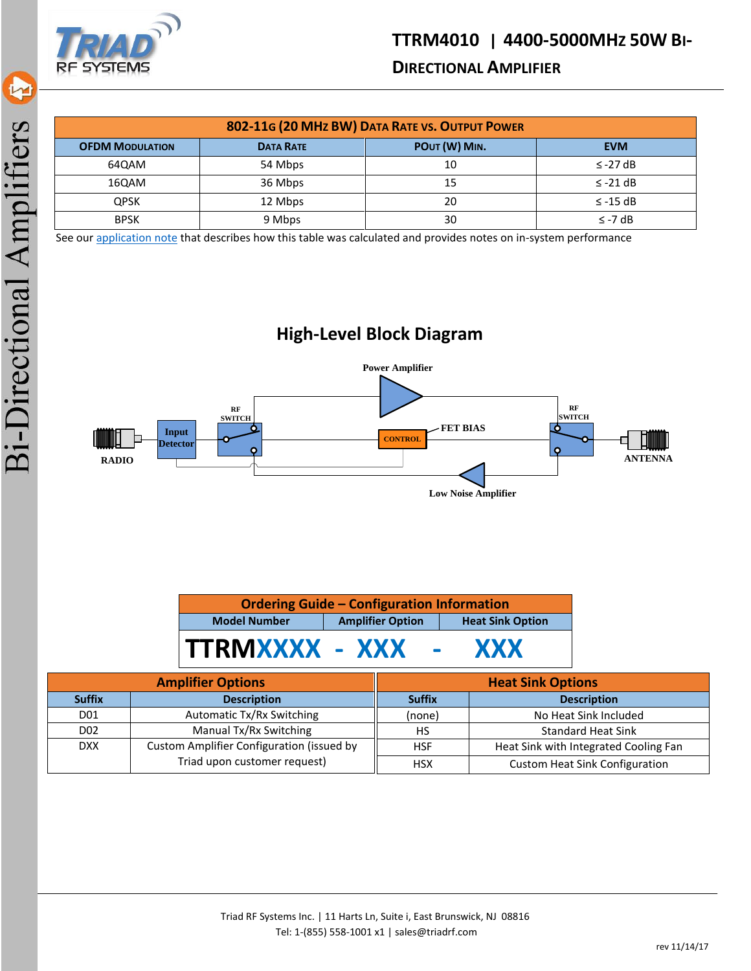

## **DIRECTIONAL AMPLIFIER**

| 802-11G (20 MHz BW) DATA RATE VS. OUTPUT POWER |                  |               |               |
|------------------------------------------------|------------------|---------------|---------------|
| <b>OFDM MODULATION</b>                         | <b>DATA RATE</b> | POUT (W) MIN. | <b>EVM</b>    |
| 64QAM                                          | 54 Mbps          | 10            | $\le$ -27 dB  |
| 16QAM                                          | 36 Mbps          | 15            | $\le$ -21 dB  |
| <b>QPSK</b>                                    | 12 Mbps          | 20            | $\leq$ -15 dB |
| <b>BPSK</b>                                    | 9 Mbps           | 30            | $\leq$ -7 dB  |

See ou[r application note](http://www.triadrf.com/pdf/EVM_Notes.pdf) that describes how this table was calculated and provides notes on in-system performance

# **High-Level Block Diagram**



| <b>Ordering Guide - Configuration Information</b> |                                                    |            |  |
|---------------------------------------------------|----------------------------------------------------|------------|--|
| <b>Model Number</b>                               | <b>Amplifier Option</b><br><b>Heat Sink Option</b> |            |  |
| TTRMXXXX - XXX                                    | <b>Contract Contract</b>                           | <b>XXX</b> |  |

| <b>Amplifier Options</b> |                                           | <b>Heat Sink Options</b> |                                       |  |
|--------------------------|-------------------------------------------|--------------------------|---------------------------------------|--|
| <b>Suffix</b>            | <b>Description</b>                        | <b>Suffix</b>            | <b>Description</b>                    |  |
| D01                      | Automatic Tx/Rx Switching                 | (none)                   | No Heat Sink Included                 |  |
| D <sub>02</sub>          | Manual Tx/Rx Switching                    | HS                       | <b>Standard Heat Sink</b>             |  |
| <b>DXX</b>               | Custom Amplifier Configuration (issued by | <b>HSF</b>               | Heat Sink with Integrated Cooling Fan |  |
|                          | Triad upon customer request)              | <b>HSX</b>               | <b>Custom Heat Sink Configuration</b> |  |